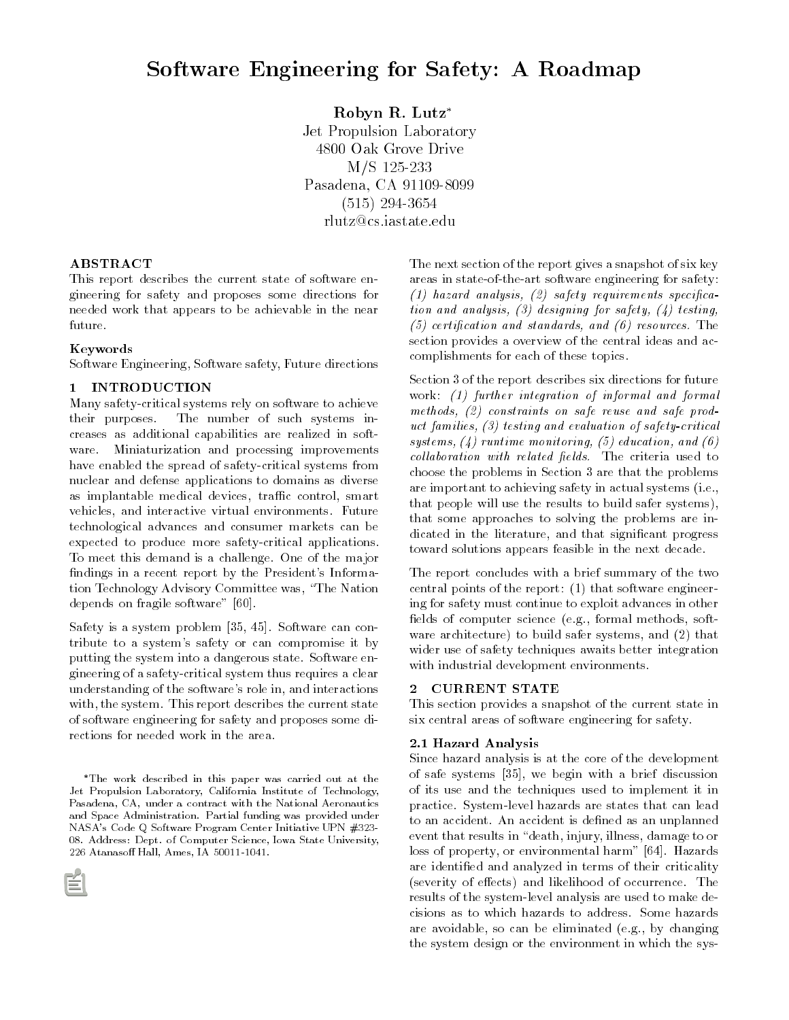# Software Engineering for Safety: A Roadmap

Robyn R. Lutz

Jet Propulsion Laboratory 4800 Oak Grove Drive M/S 125-233 Pasadena, CA 91109-8099 (515) 294-3654 rlutz@cs.iastate.edu

#### ABSTRACT

This report describes the current state of software engineering for safety and proposes some directions for needed work that appears to be achievable in the near future.

#### Keywords

Software Engineering, Software safety, Future directions

#### 1 INTRODUCTION

Many safety-critical systems rely on software to achieve their purposes. The number of such systems increases as additional capabilities are realized in soft ware. Miniaturization and processing improvements have enabled the spread of safety-critical systems from nuclear and defense applications to domains as diverse as implantable medical devices, traffic control, smart vehicles, and interactive virtual environments. Future technological advances and consumer markets can be expected to produce more safety-critical applications. To meet this demand is a challenge. One of the major ndings in a recent report by the President's Information Technology Advisory Committee was, \The Nation depends on fragile software" [60].

Safety is a system problem [35, 45]. Software can contribute to a system's safety or can compromise it by putting the system into a dangerous state. Software engineering of a safety-critical system thus requires a clear understanding of the software's role in, and interactions with, the system. This report describes the current state of software engineering for safety and proposes some directions for needed work in the area.

The work described in this paper was carried out at the Jet Propulsion Laboratory, California Institute of Technology, Pasadena, CA, under a contract with the National Aeronautics and Space Administration. Partial funding was provided under NASA's Code Q Software Program Center Initiative UPN #323- 08. Address: Dept. of Computer Science, Iowa State University, 226 Atanasoff Hall, Ames, IA 50011-1041.

The next section of the report gives a snapshot of six key areas in state-of-the-art software engineering for safety:  $(1)$  hazard analysis,  $(2)$  safety requirements specification and analysis, (3) designing for safety, (4) testing,  $(5)$  certification and standards, and  $(6)$  resources. The section provides a overview of the central ideas and accomplishments for each of these topics.

Section 3 of the report describes six directions for future work: (1) further integration of informal and formal methods, (2) constraints on safe reuse and safe product families, (3) testing and evaluation of safety-critical systems,  $(4)$  runtime monitoring,  $(5)$  education, and  $(6)$ collaboration with related fields. The criteria used to choose the problems in Section 3 are that the problems are important to achieving safety in actual systems (i.e., that people will use the results to build safer systems), that some approaches to solving the problems are indicated in the literature, and that significant progress toward solutions appears feasible in the next decade.

The report concludes with a brief summary of the two central points of the report: (1) that software engineering for safety must continue to exploit advances in other fields of computer science (e.g., formal methods, software architecture) to build safer systems, and (2) that wider use of safety techniques awaits better integration with industrial development environments.

#### 2 CURRENT STATE

This section provides a snapshot of the current state in six central areas of software engineering for safety.

#### 2.1 Hazard Analysis

Since hazard analysis is at the core of the development of safe systems [35], we begin with a brief discussion of its use and the techniques used to implement it in practice. System-level hazards are states that can lead to an accident. An accident is defined as an unplanned event that results in "death, injury, illness, damage to or loss of property, or environmental harm" [64]. Hazards are identied and analyzed in terms of their criticality (severity of effects) and likelihood of occurrence. The results of the system-level analysis are used to make decisions as to which hazards to address. Some hazards are avoidable, so can be eliminated (e.g., by changing the system design or the environment in which the sys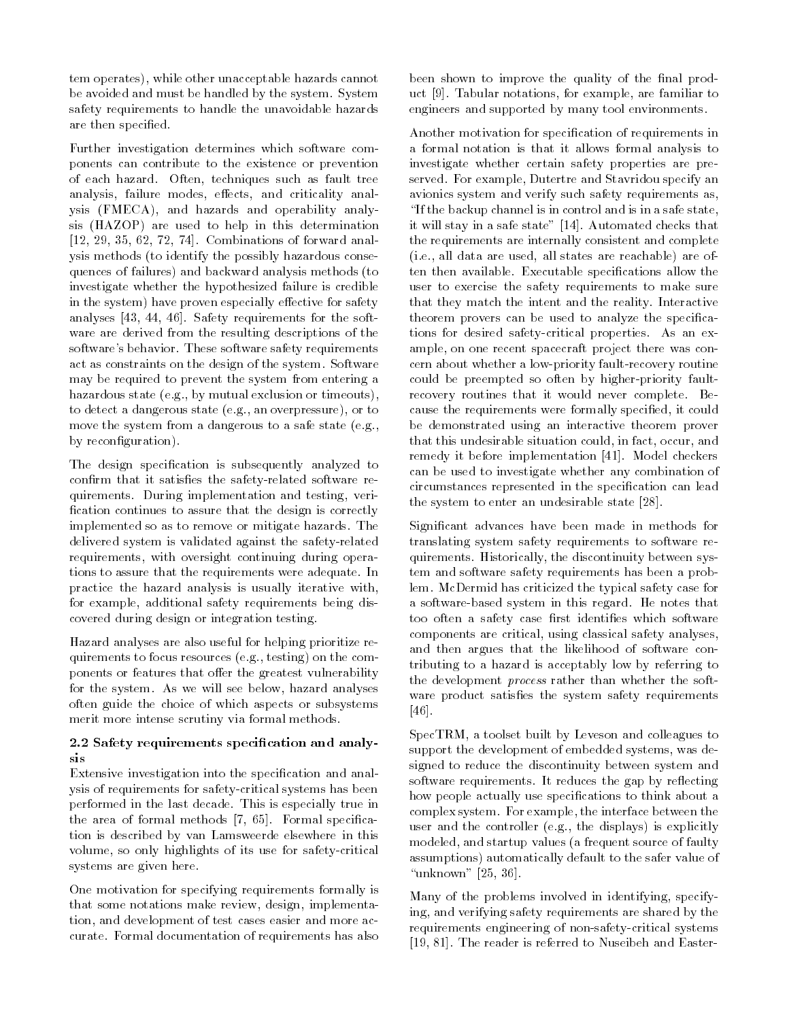tem operates), while other unacceptable hazards cannot be avoided and must be handled by the system. System safety requirements to handle the unavoidable hazards are then specied.

Further investigation determines which software components can contribute to the existence or prevention of each hazard. Often, techniques such as fault tree analysis, failure modes, effects, and criticality analysis (FMECA), and hazards and operability analysis (HAZOP) are used to help in this determination [12, 29, 35, 62, 72, 74]. Combinations of forward analysis methods (to identify the possibly hazardous consequences of failures) and backward analysis methods (to investigate whether the hypothesized failure is credible in the system) have proven especially effective for safety analyses [43, 44, 46]. Safety requirements for the soft ware are derived from the resulting descriptions of the software's behavior. These software safety requirements act as constraints on the design of the system. Software may be required to prevent the system from entering a hazardous state (e.g., by mutual exclusion or timeouts), to detect a dangerous state (e.g., an overpressure), or to move the system from a dangerous to a safe state (e.g., by reconfiguration).

The design specification is subsequently analyzed to confirm that it satisfies the safety-related software requirements. During implementation and testing, veri fication continues to assure that the design is correctly implemented so as to remove or mitigate hazards. The delivered system is validated against the safety-related requirements, with oversight continuing during operations to assure that the requirements were adequate. In practice the hazard analysis is usually iterative with, for example, additional safety requirements being discovered during design or integration testing.

Hazard analyses are also useful for helping prioritize requirements to focus resources (e.g., testing) on the components or features that offer the greatest vulnerability for the system. As we will see below, hazard analyses often guide the choice of which aspects or subsystems merit more intense scrutiny via formal methods.

# 2.2 Safety requirements specication and analysis

Extensive investigation into the specification and analysis of requirements for safety-critical systems has been performed in the last decade. This is especially true in the area of formal methods [7, 65]. Formal specication is described by van Lamsweerde elsewhere in this volume, so only highlights of its use for safety-critical systems are given here.

One motivation for specifying requirements formally is that some notations make review, design, implementation, and development of test cases easier and more accurate. Formal documentation of requirements has also

been shown to improve the quality of the final product [9]. Tabular notations, for example, are familiar to engineers and supported by many tool environments.

Another motivation for specication of requirements in a formal notation is that it allows formal analysis to investigate whether certain safety properties are preserved. For example, Dutertre and Stavridou specify an avionics system and verify such safety requirements as, \If the backup channel is in control and is in a safe state, it will stay in a safe state" [14]. Automated checks that the requirements are internally consistent and complete (i.e., all data are used, all states are reachable) are often then available. Executable specications allow the user to exercise the safety requirements to make sure that they match the intent and the reality. Interactive theorem provers can be used to analyze the specifications for desired safety-critical properties. As an example, on one recent spacecraft project there was concern about whether a low-priority fault-recovery routine could be preempted so often by higher-priority faultrecovery routines that it would never complete. Because the requirements were formally specified, it could be demonstrated using an interactive theorem prover that this undesirable situation could, in fact, occur, and remedy it before implementation [41]. Model checkers can be used to investigate whether any combination of circumstances represented in the specication can lead the system to enter an undesirable state [28].

Signicant advances have been made in methods for translating system safety requirements to software requirements. Historically, the discontinuity between system and software safety requirements has been a problem. McDermid has criticized the typical safety case for a software-based system in this regard. He notes that too often a safety case first identifies which software components are critical, using classical safety analyses, and then argues that the likelihood of software contributing to a hazard is acceptably low by referring to the development process rather than whether the soft ware product satisfies the system safety requirements  $\lceil 46 \rceil$ . [46]. [46]. [46]. [46]. [46]. [46]. [46]. [46]. [46]. [46]. [46]. [46]. [46]. [46]. [46]. [46]. [46]. [46]. [46]. [46]. [46]. [46]. [46]. [46]. [46]. [46]. [46]. [46]. [46]. [46]. [46]. [46]. [46]. [46]. [46]. [46]. [46].

SpecTRM, a toolset built by Leveson and colleagues to support the development of embedded systems, was designed to reduce the discontinuity between system and software requirements. It reduces the gap by reflecting how people actually use specifications to think about a complex system. For example, the interface between the user and the controller (e.g., the displays) is explicitly modeled, and startup values (a frequent source of faulty assumptions) automatically default to the safer value of "unknown"  $[25, 36]$ .

Many of the problems involved in identifying, specifying, and verifying safety requirements are shared by the requirements engineering of non-safety-critical systems [19, 81]. The reader is referred to Nuseibeh and Easter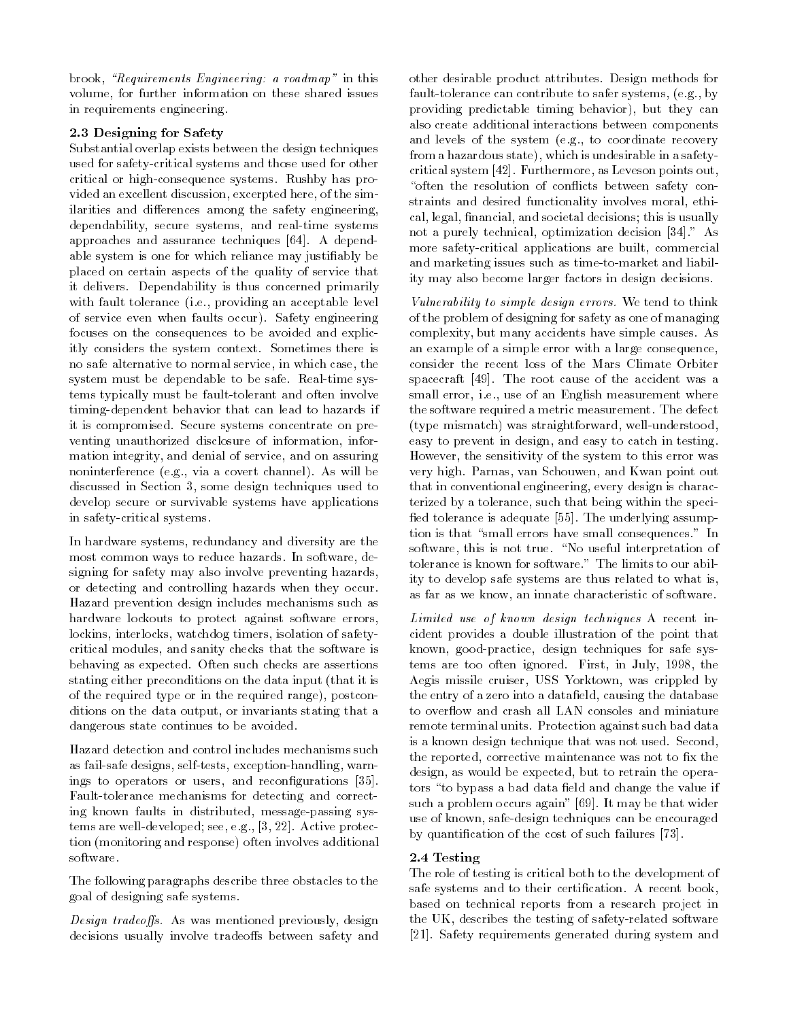brook, "Requirements Engineering: a roadmap" in this volume, for further information on these shared issues in requirements engineering.

# 2.3 Designing for Safety

Substantial overlap exists between the design techniques used for safety-critical systems and those used for other critical or high-consequence systems. Rushby has provided an excellent discussion, excerpted here, of the similarities and differences among the safety engineering, dependability, secure systems, and real-time systems approaches and assurance techniques [64]. A dependable system is one for which reliance may justiably be placed on certain aspects of the quality of service that it delivers. Dependability is thus concerned primarily with fault tolerance (i.e., providing an acceptable level of service even when faults occur). Safety engineering focuses on the consequences to be avoided and explicitly considers the system context. Sometimes there is no safe alternative to normal service, in which case, the system must be dependable to be safe. Real-time systems typically must be fault-tolerant and often involve timing-dependent behavior that can lead to hazards if it is compromised. Secure systems concentrate on preventing unauthorized disclosure of information, information integrity, and denial of service, and on assuring noninterference (e.g., via a covert channel). As will be discussed in Section 3, some design techniques used to develop secure or survivable systems have applications in safety-critical systems.

In hardware systems, redundancy and diversity are the most common ways to reduce hazards. In software, designing for safety may also involve preventing hazards, or detecting and controlling hazards when they occur. Hazard prevention design includes mechanisms such as hardware lockouts to protect against software errors, lockins, interlocks, watchdog timers, isolation of safetycritical modules, and sanity checks that the software is behaving as expected. Often such checks are assertions stating either preconditions on the data input (that it is of the required type or in the required range), postconditions on the data output, or invariants stating that a dangerous state continues to be avoided.

Hazard detection and control includes mechanisms such as fail-safe designs, self-tests, exception-handling, warnings to operators or users, and reconfigurations [35]. Fault-tolerance mechanisms for detecting and correcting known faults in distributed, message-passing systems are well-developed; see, e.g., [3, 22]. Active protection (monitoring and response) often involves additional software.

The following paragraphs describe three obstacles to the goal of designing safe systems.

Design tradeoffs. As was mentioned previously, design decisions usually involve tradeoffs between safety and other desirable product attributes. Design methods for fault-tolerance can contribute to safer systems, (e.g., by providing predictable timing behavior), but they can also create additional interactions between components and levels of the system (e.g., to coordinate recovery from a hazardous state), which is undesirable in a safetycritical system [42]. Furthermore, as Leveson points out, "often the resolution of conflicts between safety constraints and desired functionality involves moral, ethical, legal, financial, and societal decisions; this is usually not a purely technical, optimization decision [34]." As more safety-critical applications are built, commercial and marketing issues such as time-to-market and liability may also become larger factors in design decisions.

Vulnerability to simple design errors. We tend to think of the problem of designing for safety as one of managing complexity, but many accidents have simple causes. As an example of a simple error with a large consequence, consider the recent loss of the Mars Climate Orbiter spacecraft [49]. The root cause of the accident was a small error, i.e., use of an English measurement where the software required a metric measurement. The defect (type mismatch) was straightforward, well-understood, easy to prevent in design, and easy to catch in testing. However, the sensitivity of the system to this error was very high. Parnas, van Schouwen, and Kwan point out that in conventional engineering, every design is characterized by a tolerance, such that being within the speci fied tolerance is adequate [55]. The underlying assumption is that "small errors have small consequences." In software, this is not true. "No useful interpretation of tolerance is known for software." The limits to our ability to develop safe systems are thus related to what is, as far as we know, an innate characteristic of software.

Limited use of known design techniques A recent incident provides a double illustration of the point that known, good-practice, design techniques for safe systems are too often ignored. First, in July, 1998, the Aegis missile cruiser, USS Yorktown, was crippled by the entry of a zero into a datafield, causing the database to overflow and crash all LAN consoles and miniature remote terminal units. Protection against such bad data is a known design technique that was not used. Second, the reported, corrective maintenance was not to fix the design, as would be expected, but to retrain the operators "to bypass a bad data field and change the value if such a problem occurs again" [69]. It may be that wider use of known, safe-design techniques can be encouraged by quantication of the cost of such failures [73].

# 2.4 Testing

The role of testing is critical both to the development of safe systems and to their certification. A recent book, based on technical reports from a research project in the UK, describes the testing of safety-related software [21]. Safety requirements generated during system and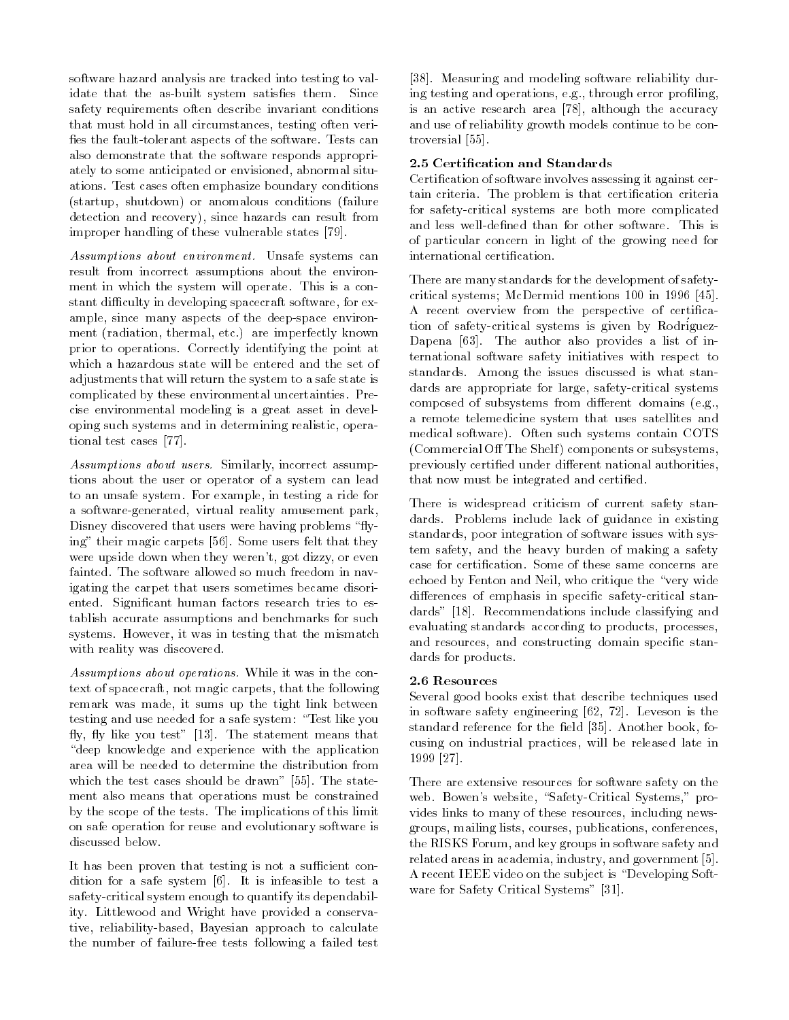software hazard analysis are tracked into testing to validate that the as-built system satisfies them. Since safety requirements often describe invariant conditions that must hold in all circumstances, testing often veri fies the fault-tolerant aspects of the software. Tests can also demonstrate that the software responds appropriately to some anticipated or envisioned, abnormal situations. Test cases often emphasize boundary conditions (startup, shutdown) or anomalous conditions (failure detection and recovery), since hazards can result from improper handling of these vulnerable states [79].

Assumptions about environment. Unsafe systems can result from incorrect assumptions about the environ ment in which the system will operate. This is a constant difficulty in developing spacecraft software, for example, since many aspects of the deep-space environ ment (radiation, thermal, etc.) are imperfectly known prior to operations. Correctly identifying the point at which a hazardous state will be entered and the set of adjustments that will return the system to a safe state is complicated by these environmental uncertainties. Precise environmental modeling is a great asset in developing such systems and in determining realistic, operational test cases [77].

Assumptions about users. Similarly, incorrect assumptions about the user or operator of a system can lead to an unsafe system. For example, in testing a ride for a software-generated, virtual reality amusement park, Disney discovered that users were having problems "flying" their magic carpets [56]. Some users felt that they were upside down when they weren't, got dizzy, or even fainted. The software allowed so much freedom in navigating the carpet that users sometimes became disoriented. Signicant human factors research tries to establish accurate assumptions and benchmarks for such systems. However, it was in testing that the mismatch with reality was discovered.

Assumptions about operations. While it was in the context of spacecraft, not magic carpets, that the following remark was made, it sums up the tight link between testing and use needed for a safe system: "Test like you fly, fly like you test"  $[13]$ . The statement means that "deep knowledge and experience with the application area will be needed to determine the distribution from which the test cases should be drawn" [55]. The state ment also means that operations must be constrained by the scope of the tests. The implications of this limit on safe operation for reuse and evolutionary software is discussed below.

It has been proven that testing is not a sufficient condition for a safe system [6]. It is infeasible to test a safety-critical system enough to quantify its dependability. Littlewood and Wright have provided a conservative, reliability-based, Bayesian approach to calculate the number of failure-free tests following a failed test

[38]. Measuring and modeling software reliability during testing and operations, e.g., through error profiling, is an active research area [78], although the accuracy and use of reliability growth models continue to be controversial [55].

# 2.5 Certication and Standards

Certication of software involves assessing it against certain criteria. The problem is that certification criteria for safety-critical systems are both more complicated and less well-defined than for other software. This is of particular concern in light of the growing need for international certification.

There are many standards for the development of safetycritical systems; McDermid mentions 100 in 1996 [45]. A recent overview from the perspective of certication of safety-critical systems is given by Rodriguez-Dapena [63]. The author also provides a list of international software safety initiatives with respect to standards. Among the issues discussed is what standards are appropriate for large, safety-critical systems composed of subsystems from different domains  $(e.g.,$ a remote telemedicine system that uses satellites and medical software). Often such systems contain COTS (Commercial Off The Shelf) components or subsystems, previously certified under different national authorities, that now must be integrated and certified.

There is widespread criticism of current safety standards. Problems include lack of guidance in existing standards, poor integration of software issues with system safety, and the heavy burden of making a safety case for certication. Some of these same concerns are echoed by Fenton and Neil, who critique the "very wide differences of emphasis in specific safety-critical standards" [18]. Recommendations include classifying and evaluating standards according to products, processes, and resources, and constructing domain specific standards for products.

# 2.6 Resources

Several good books exist that describe techniques used in software safety engineering [62, 72]. Leveson is the standard reference for the field [35]. Another book, focusing on industrial practices, will be released late in 1999 [27].

There are extensive resources for software safety on the web. Bowen's website, "Safety-Critical Systems," provides links to many of these resources, including newsgroups, mailing lists, courses, publications, conferences, the RISKS Forum, and key groups in software safety and related areas in academia, industry, and government [5]. A recent IEEE video on the subject is "Developing Software for Safety Critical Systems" [31].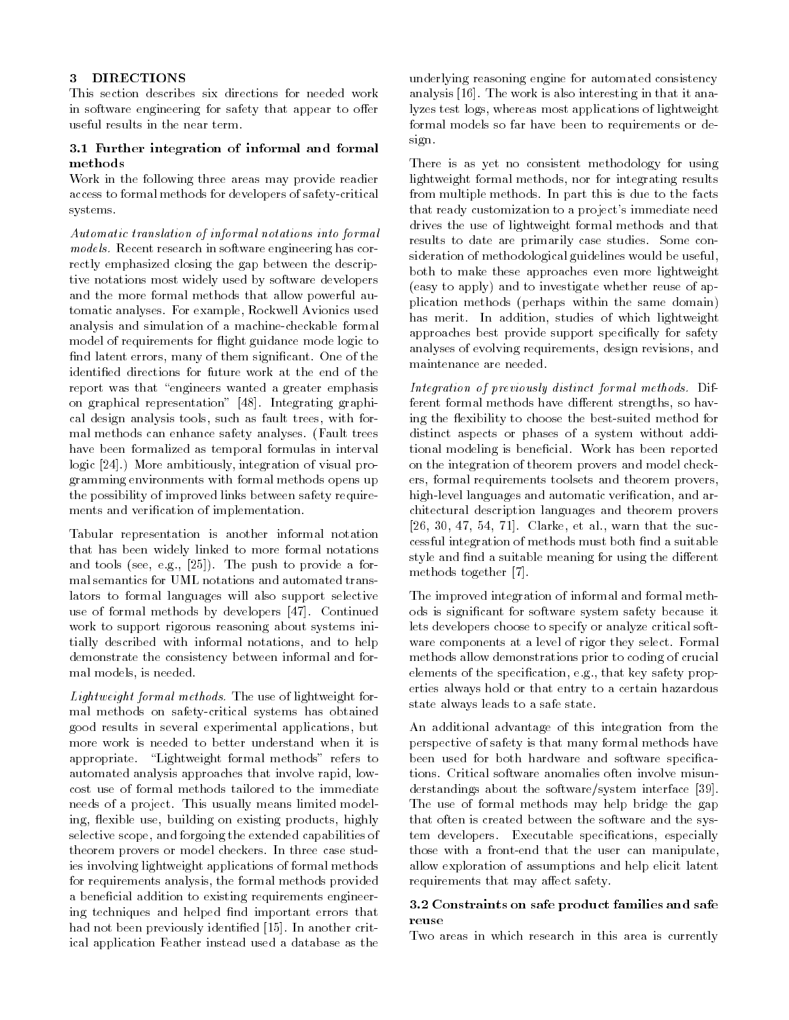#### 3 DIRECTIONS

This section describes six directions for needed work in software engineering for safety that appear to offer useful results in the near term.

# 3.1 Further integration of informal and formal methods

Work in the following three areas may provide readier access to formal methods for developers of safety-critical systems.

Automatic translation of informal notations into formal models. Recent research in software engineering has correctly emphasized closing the gap between the descriptive notations most widely used by software developers and the more formal methods that allow powerful automatic analyses. For example, Rockwell Avionics used analysis and simulation of a machine-checkable formal model of requirements for flight guidance mode logic to find latent errors, many of them significant. One of the identied directions for future work at the end of the report was that "engineers wanted a greater emphasis on graphical representation" [48]. Integrating graphical design analysis tools, such as fault trees, with formal methods can enhance safety analyses. (Fault trees have been formalized as temporal formulas in interval logic [24].) More ambitiously, integration of visual programming environments with formal methods opens up the possibility of improved links between safety require ments and verication of implementation.

Tabular representation is another informal notation that has been widely linked to more formal notations and tools (see, e.g., [25]). The push to provide a formal semantics for UML notations and automated translators to formal languages will also support selective use of formal methods by developers [47]. Continued work to support rigorous reasoning about systems initially described with informal notations, and to help demonstrate the consistency between informal and formal models, is needed.

Lightweight formal methods. The use of lightweight formal methods on safety-critical systems has obtained good results in several experimental applications, but more work is needed to better understand when it is appropriate. "Lightweight formal methods" refers to automated analysis approaches that involve rapid, lowcost use of formal methods tailored to the immediate needs of a project. This usually means limited modeling, flexible use, building on existing products, highly selective scope, and forgoing the extended capabilities of theorem provers or model checkers. In three case studies involving lightweight applications of formal methods for requirements analysis, the formal methods provided a beneficial addition to existing requirements engineering techniques and helped find important errors that had not been previously identified [15]. In another critical application Feather instead used a database as the

underlying reasoning engine for automated consistency analysis [16]. The work is also interesting in that it analyzes test logs, whereas most applications of lightweight formal models so far have been to requirements or design.

There is as yet no consistent methodology for using lightweight formal methods, nor for integrating results from multiple methods. In part this is due to the facts that ready customization to a project's immediate need drives the use of lightweight formal methods and that results to date are primarily case studies. Some consideration of methodological guidelines would be useful, both to make these approaches even more lightweight (easy to apply) and to investigate whether reuse of application methods (perhaps within the same domain) has merit. In addition, studies of which lightweight approaches best provide support specifically for safety analyses of evolving requirements, design revisions, and

Integration of previously distinct formal methods. Different formal methods have different strengths, so having the flexibility to choose the best-suited method for distinct aspects or phases of a system without additional modeling is beneficial. Work has been reported on the integration of theorem provers and model checkers, formal requirements toolsets and theorem provers, high-level languages and automatic verification, and architectural description languages and theorem provers [26, 30, 47, 54, 71]. Clarke, et al., warn that the successful integration of methods must both find a suitable style and find a suitable meaning for using the different methods together [7].

The improved integration of informal and formal methods is signicant for software system safety because it lets developers choose to specify or analyze critical soft ware components at a level of rigor they select. Formal methods allow demonstrations prior to coding of crucial elements of the specification, e.g., that key safety properties always hold or that entry to a certain hazardous state always leads to a safe state.

An additional advantage of this integration from the perspective of safety is that many formal methods have been used for both hardware and software specifications. Critical software anomalies often involve misunderstandings about the software/system interface [39]. The use of formal methods may help bridge the gap that often is created between the software and the system developers. Executable specifications, especially those with a front-end that the user can manipulate, allow exploration of assumptions and help elicit latent requirements that may affect safety.

# 3.2 Constraints on safe product families and safe reuse

Two areas in which research in this area is currently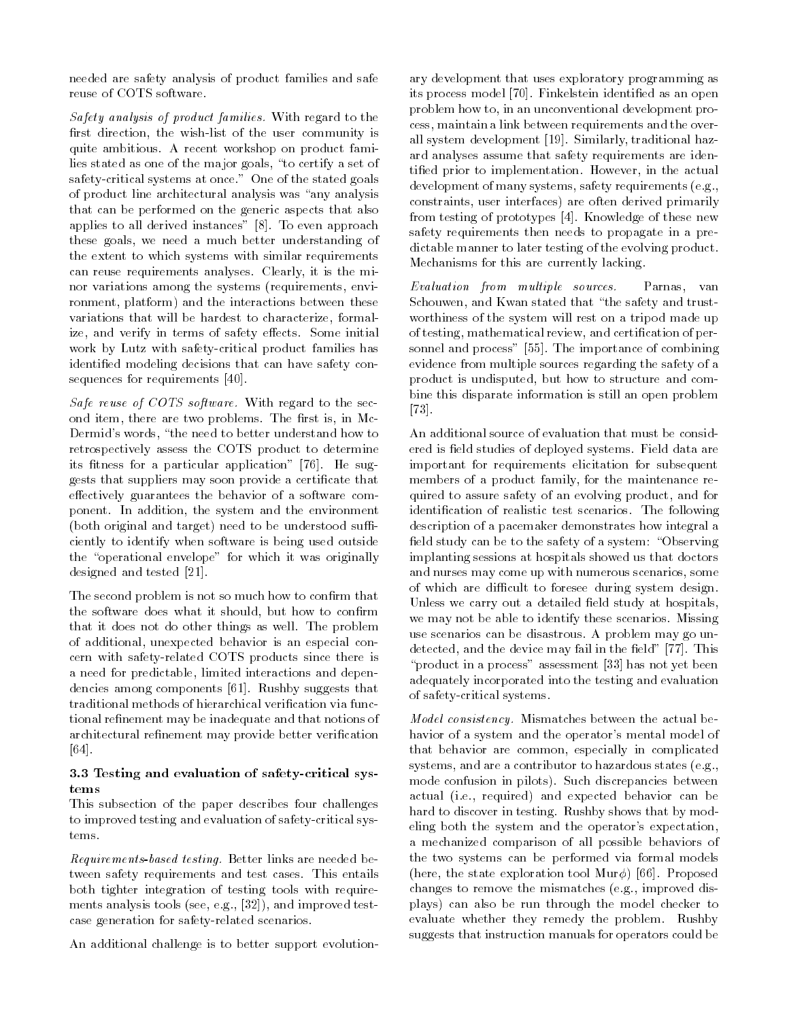needed are safety analysis of product families and safe reuse of COTS software.

Safety analysis of product families. With regard to the first direction, the wish-list of the user community is quite ambitious. A recent workshop on product families stated as one of the major goals, "to certify a set of safety-critical systems at once." One of the stated goals of product line architectural analysis was "any analysis that can be performed on the generic aspects that also applies to all derived instances" [8]. To even approach these goals, we need a much better understanding of the extent to which systems with similar requirements can reuse requirements analyses. Clearly, it is the minor variations among the systems (requirements, environment, platform) and the interactions between these variations that will be hardest to characterize, formalize, and verify in terms of safety effects. Some initial work by Lutz with safety-critical product families has identied modeling decisions that can have safety consequences for requirements [40].

Safe reuse of COTS software. With regard to the second item, there are two problems. The first is, in Mc-Dermid's words, \the need to better understand how to retrospectively assess the COTS product to determine its fitness for a particular application" [76]. He suggests that suppliers may soon provide a certicate that effectively guarantees the behavior of a software component. In addition, the system and the environment (both original and target) need to be understood sufficiently to identify when software is being used outside the "operational envelope" for which it was originally designed and tested [21].

The second problem is not so much how to confirm that the software does what it should, but how to confirm that it does not do other things as well. The problem of additional, unexpected behavior is an especial concern with safety-related COTS products since there is a need for predictable, limited interactions and dependencies among components [61]. Rushby suggests that traditional methods of hierarchical verification via functional refinement may be inadequate and that notions of architectural refinement may provide better verification [64].

# 3.3 Testing and evaluation of safety-critical systems

This subsection of the paper describes four challenges to improved testing and evaluation of safety-critical systems.

Requirements-based testing. Better links are needed between safety requirements and test cases. This entails both tighter integration of testing tools with require ments analysis tools (see, e.g., [32]), and improved testcase generation for safety-related scenarios.

An additional challenge is to better support evolution-

ary development that uses exploratory programming as its process model [70]. Finkelstein identied as an open problem how to, in an unconventional development process, maintain a link between requirements and the overall system development [19]. Similarly, traditional hazard analyses assume that safety requirements are identied prior to implementation. However, in the actual development of many systems, safety requirements (e.g., constraints, user interfaces) are often derived primarily from testing of prototypes [4]. Knowledge of these new safety requirements then needs to propagate in a predictable manner to later testing of the evolving product. Mechanisms for this are currently lacking.

Evaluation from multiple sources. Parnas, van Schouwen, and Kwan stated that \the safety and trust worthiness of the system will rest on a tripod made up of testing, mathematical review, and certication of personnel and process" [55]. The importance of combining evidence from multiple sources regarding the safety of a product is undisputed, but how to structure and combine this disparate information is still an open problem [73].

An additional source of evaluation that must be considered is field studies of deployed systems. Field data are important for requirements elicitation for subsequent members of a product family, for the maintenance required to assure safety of an evolving product, and for identification of realistic test scenarios. The following description of a pacemaker demonstrates how integral a field study can be to the safety of a system: "Observing implanting sessions at hospitals showed us that doctors and nurses may come up with numerous scenarios, some of which are difficult to foresee during system design. Unless we carry out a detailed field study at hospitals, we may not be able to identify these scenarios. Missing use scenarios can be disastrous. A problem may go undetected, and the device may fail in the field" [77]. This "product in a process" assessment [33] has not yet been adequately incorporated into the testing and evaluation of safety-critical systems.

Model consistency. Mismatches between the actual behavior of a system and the operator's mental model of that behavior are common, especially in complicated systems, and are a contributor to hazardous states (e.g., mode confusion in pilots). Such discrepancies between actual (i.e., required) and expected behavior can be hard to discover in testing. Rushby shows that by modeling both the system and the operator's expectation, a mechanized comparison of all possible behaviors of the two systems can be performed via formal models (here, the state exploration tool Mur $\phi$ ) [66]. Proposed changes to remove the mismatches (e.g., improved displays) can also be run through the model checker to evaluate whether they remedy the problem. Rushby suggests that instruction manuals for operators could be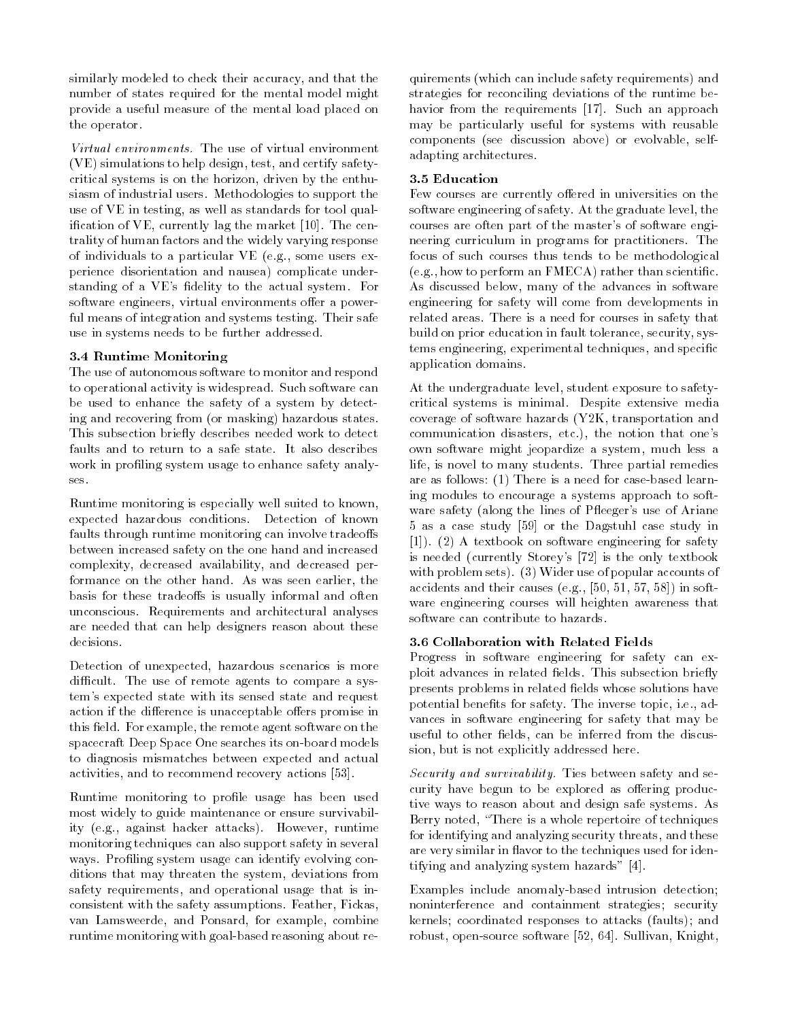similarly modeled to check their accuracy, and that the number of states required for the mental model might provide a useful measure of the mental load placed on the operator.

Virtual environments. The use of virtual environment (VE) simulations to help design, test, and certify safetycritical systems is on the horizon, driven by the enthusiasm of industrial users. Methodologies to support the use of VE in testing, as well as standards for tool qualification of  $VE$ , currently lag the market [10]. The centrality of human factors and the widely varying response of individuals to a particular VE (e.g., some users experience disorientation and nausea) complicate understanding of a VE's fidelity to the actual system. For software engineers, virtual environments offer a powerful means of integration and systems testing. Their safe use in systems needs to be further addressed.

# 3.4 Runtime Monitoring

The use of autonomous software to monitor and respond to operational activity is widespread. Such software can be used to enhance the safety of a system by detecting and recovering from (or masking) hazardous states. This subsection briefly describes needed work to detect faults and to return to a safe state. It also describes work in profiling system usage to enhance safety analy-

Runtime monitoring is especially well suited to known, expected hazardous conditions. Detection of known faults through runtime monitoring can involve tradeoffs between increased safety on the one hand and increased complexity, decreased availability, and decreased performance on the other hand. As was seen earlier, the basis for these tradeoffs is usually informal and often unconscious. Requirements and architectural analyses are needed that can help designers reason about these

Detection of unexpected, hazardous scenarios is more difficult. The use of remote agents to compare a system's expected state with its sensed state and request action if the difference is unacceptable offers promise in this field. For example, the remote agent software on the spacecraft Deep Space One searches its on-board models to diagnosis mismatches between expected and actual activities, and to recommend recovery actions [53].

Runtime monitoring to profile usage has been used most widely to guide maintenance or ensure survivability (e.g., against hacker attacks). However, runtime monitoring techniques can also support safety in several ways. Profiling system usage can identify evolving conditions that may threaten the system, deviations from safety requirements, and operational usage that is inconsistent with the safety assumptions. Feather, Fickas, van Lamsweerde, and Ponsard, for example, combine runtime monitoring with goal-based reasoning about re-

quirements (which can include safety requirements) and strategies for reconciling deviations of the runtime behavior from the requirements [17]. Such an approach may be particularly useful for systems with reusable components (see discussion above) or evolvable, selfadapting architectures.

# 3.5 Education

Few courses are currently offered in universities on the software engineering of safety. At the graduate level, the courses are often part of the master's of software engineering curriculum in programs for practitioners. The focus of such courses thus tends to be methodological (e.g., how to perform an FMECA) rather than scientic. As discussed below, many of the advances in software engineering for safety will come from developments in related areas. There is a need for courses in safety that build on prior education in fault tolerance, security, systems engineering, experimental techniques, and specific application and and an analysis are proportionally application of the set of the set of the set of the set of

At the undergraduate level, student exposure to safetycritical systems is minimal. Despite extensive media coverage of software hazards (Y2K, transportation and communication disasters, etc.), the notion that one's own software might jeopardize a system, much less a life, is novel to many students. Three partial remedies are as follows: (1) There is a need for case-based learning modules to encourage a systems approach to soft ware safety (along the lines of Pfleeger's use of Ariane 5 as a case study [59] or the Dagstuhl case study in [1]). (2) A textbook on software engineering for safety is needed (currently Storey's [72] is the only textbook with problem sets). (3) Wider use of popular accounts of accidents and their causes (e.g., [50, 51, 57, 58]) in soft ware engineering courses will heighten awareness that software can contribute to hazards.

# 3.6 Collaboration with Related Fields

Progress in software engineering for safety can exploit advances in related fields. This subsection briefly presents problems in related fields whose solutions have potential benefits for safety. The inverse topic, i.e., advances in software engineering for safety that may be useful to other fields, can be inferred from the discussion, but is not explicitly addressed here.

Security and survivability. Ties between safety and security have begun to be explored as offering productive ways to reason about and design safe systems. As Berry noted, "There is a whole repertoire of techniques for identifying and analyzing security threats, and these are very similar in 
avor to the techniques used for identifying and analyzing system hazards" [4].

Examples include anomaly-based intrusion detection; noninterference and containment strategies; security kernels; coordinated responses to attacks (faults); and robust, open-source software [52, 64]. Sullivan, Knight,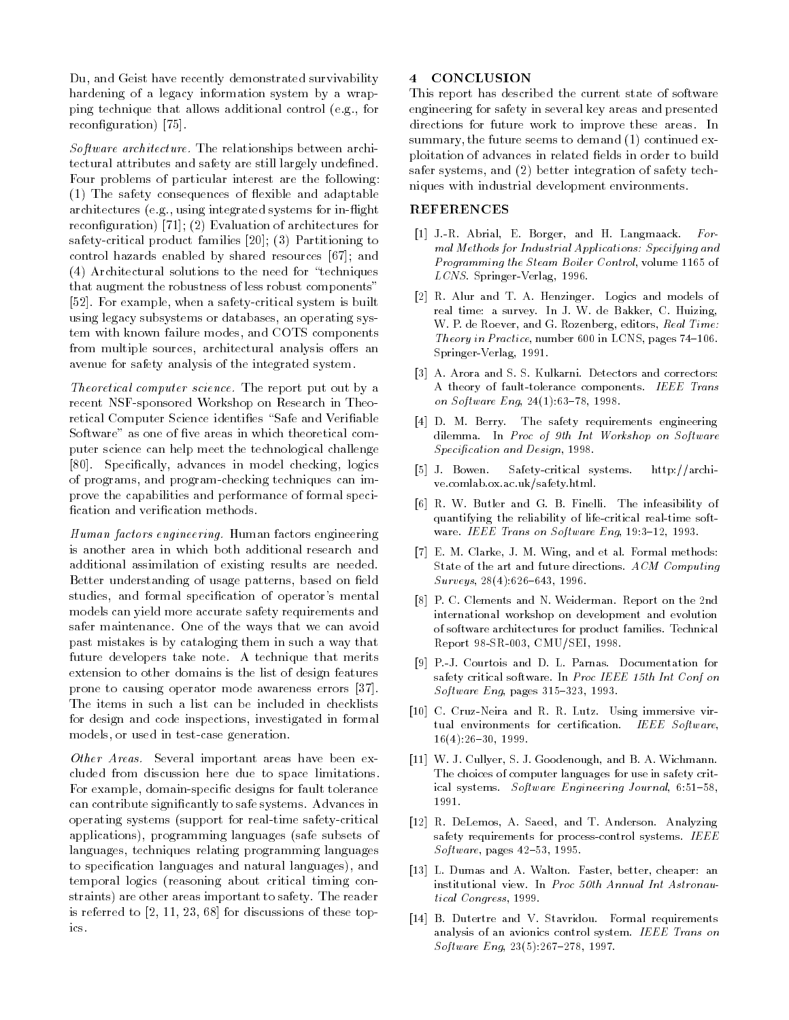Du, and Geist have recently demonstrated survivability hardening of a legacy information system by a wrapping technique that allows additional control (e.g., for reconfiguration) [75].

Software architecture. The relationships between architectural attributes and safety are still largely undefined. Four problems of particular interest are the following: (1) The safety consequences of flexible and adaptable architectures (e.g., using integrated systems for in-flight reconfiguration) [71]; (2) Evaluation of architectures for safety-critical product families [20]; (3) Partitioning to control hazards enabled by shared resources [67]; and (4) Architectural solutions to the need for "techniques" that augment the robustness of less robust components" [52]. For example, when a safety-critical system is built using legacy subsystems or databases, an operating system with known failure modes, and COTS components from multiple sources, architectural analysis offers an avenue for safety analysis of the integrated system.

Theoretical computer science. The report put out by a recent NSF-sponsored Workshop on Research in Theoretical Computer Science identifies "Safe and Verifiable Software" as one of five areas in which theoretical computer science can help meet the technological challenge [80]. Specically, advances in model checking, logics of programs, and program-checking techniques can improve the capabilities and performance of formal speci fication and verification methods.

Human factors engineering. Human factors engineering is another area in which both additional research and additional assimilation of existing results are needed. Better understanding of usage patterns, based on field studies, and formal specification of operator's mental models can yield more accurate safety requirements and safer maintenance. One of the ways that we can avoid past mistakes is by cataloging them in suchaway that future developers take note. A technique that merits extension to other domains is the list of design features prone to causing operator mode awareness errors [37]. The items in such a list can be included in checklists for design and code inspections, investigated in formal models, or used in test-case generation.

Other Areas. Several important areas have been excluded from discussion here due to space limitations. For example, domain-specific designs for fault tolerance can contribute signicantly to safe systems. Advances in operating systems (support for real-time safety-critical applications), programming languages (safe subsets of languages, techniques relating programming languages to specication languages and natural languages), and temporal logics (reasoning about critical timing constraints) are other areas important to safety. The reader is referred to [2, 11, 23, 68] for discussions of these topics.

#### **CONCLUSION**  $\overline{4}$

This report has described the current state of software engineering for safety in several key areas and presented directions for future work to improve these areas. In summary, the future seems to demand (1) continued exploitation of advances in related fields in order to build safer systems, and (2) better integration of safety techniques with industrial development environments.

#### REFERENCES

- [1] J.-R. Abrial, E. Borger, and H. Langmaack. For mal Methods for Industrial Applications: Specifying and Programming the Steam Boiler Control, volume 1165 of LCNS. Springer-Verlag, 1996.
- [2] R. Alur and T. A. Henzinger. Logics and models of real time: a survey. In J. W. de Bakker, C. Huizing, W. P. de Roever, and G. Rozenberg, editors, Real Time: Theory in Practice, number 600 in LCNS, pages 74-106. Springer-Verlag, 1991.
- [3] A. Arora and S. S. Kulkarni. Detectors and correctors: A theory of fault-tolerance components. IEEE Trans on Software Eng,  $24(1):63-78$ , 1998.
- [4] D. M. Berry. The safety requirements engineering dilemma. In Proc of 9th Int Workshop on Software Specification and Design, 1998.
- [5] J. Bowen. Safety-critical systems. http://archive.comlab.ox.ac.uk/safety.html.
- [6] R. W. Butler and G. B. Finelli. The infeasibility of quantifying the reliability of life-critical real-time soft ware. IEEE Trans on Software Eng,  $19:3-12$ ,  $1993$ .
- [7] E. M. Clarke, J. M. Wing, and et al. Formal methods: State of the art and future directions. ACM Computing  $Surveys, 28(4):626{-}643, 1996.$
- [8] P. C. Clements and N. Weiderman. Report on the 2nd international workshop on development and evolution of software architectures for product families. Technical Report 98-SR-003, CMU/SEI, 1998.
- [9] P.-J. Courtois and D. L. Parnas. Documentation for safety critical software. In Proc IEEE 15th Int Conf on Software Eng, pages  $315-323$ , 1993.
- [10] C. Cruz-Neira and R. R. Lutz. Using immersive virtual environments for certification. IEEE Software,  $16(4):26{-}30, 1999.$
- [11] W. J. Cullyer, S. J. Goodenough, and B. A. Wichmann. The choices of computer languages for use in safety critical systems. Software Engineering Journal, 6:51-58, 1991.
- [12] R. DeLemos, A. Saeed, and T. Anderson. Analyzing safety requirements for process-control systems. IEEE  $Software$ , pages  $42–53$ , 1995.
- [13] L. Dumas and A. Walton. Faster, better, cheaper: an institutional view. In Proc 50th Annual Int Astronautical Congress, 1999.
- [14] B. Dutertre and V. Stavridou. Formal requirements analysis of an avionics control system. IEEE Trans on Software Eng,  $23(5):267{-}278$ , 1997.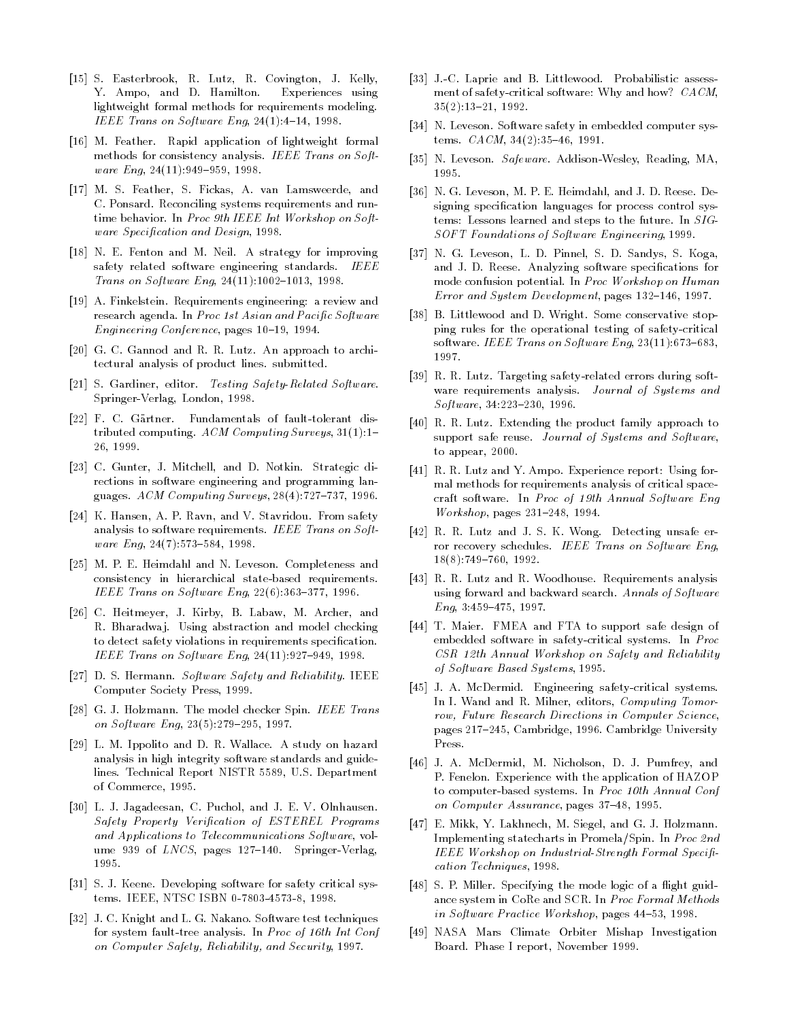- [15] S. Easterbrook, R. Lutz, R. Covington, J. Kelly, Y. Ampo, and D. Hamilton. Experiences using lightweight formal methods for requirements modeling. IEEE Trans on Software Eng,  $24(1):4-14$ , 1998.
- [16] M. Feather. Rapid application of lightweight formal methods for consistency analysis. IEEE Trans on Software  $Eng, 24(11): 949{-}959, 1998.$
- [17] M. S. Feather, S. Fickas, A. van Lamsweerde, and C. Ponsard. Reconciling systems requirements and runtime behavior. In Proc 9th IEEE Int Workshop on Software Specification and Design, 1998.
- [18] N. E. Fenton and M. Neil. A strategy for improving safety related software engineering standards. IEEE Trans on Software Eng,  $24(11):1002{-}1013$ , 1998.
- [19] A. Finkelstein. Requirements engineering: a review and research agenda. In Proc 1st Asian and Pacific Software Engineering Conference, pages  $10-19$ , 1994.
- [20] G. C. Gannod and R. R. Lutz. An approach to architectural analysis of product lines. submitted.
- [21] S. Gardiner, editor. Testing Safety-Related Software. Springer-Verlag, London, 1998.
- [22] F. C. Gärtner. Fundamentals of fault-tolerant distributed computing. ACM Computing Surveys,  $31(1):1-$ 26, 1999.
- [23] C. Gunter, J. Mitchell, and D. Notkin. Strategic directions in software engineering and programming languages.  $ACM$  Computing Surveys,  $28(4)$ :727-737, 1996.
- [24] K. Hansen, A. P. Ravn, and V. Stavridou. From safety analysis to software requirements. IEEE Trans on Software  $Eng, 24(7): 573{-}584, 1998.$
- [25] M. P. E. Heimdahl and N. Leveson. Completeness and consistency in hierarchical state-based requirements. IEEE Trans on Software Eng,  $22(6)$ :363-377, 1996.
- [26] C. Heitmeyer, J. Kirby, B. Labaw, M. Archer, and R. Bharadwa j. Using abstraction and model checking to detect safety violations in requirements specication. IEEE Trans on Software Eng,  $24(11):927{-}949$ , 1998.
- [27] D. S. Hermann. Software Safety and Reliability. IEEE Computer Society Press, 1999.
- [28] G. J. Holzmann. The model checker Spin. IEEE Trans on Software Eng,  $23(5):279{-}295, 1997.$
- [29] L. M. Ippolito and D. R. Wallace. A study on hazard analysis in high integrity software standards and guidelines. Technical Report NISTR 5589, U.S. Department of Commerce, 1995.
- [30] L. J. Jagadeesan, C. Puchol, and J. E. V. Olnhausen. Safety Property Verication of ESTEREL Programs and Applications to Telecommunications Software, volume 939 of  $LNCS$ , pages 127-140. Springer-Verlag, 1995.
- [31] S. J. Keene. Developing software for safety critical systems. IEEE, NTSC ISBN 0-7803-4573-8, 1998.
- [32] J. C. Knight and L. G. Nakano. Software test techniques for system fault-tree analysis. In Proc of 16th Int Conf on Computer Safety, Reliability, and Security, 1997.
- [33] J.-C. Laprie and B. Littlewood. Probabilistic assessment of safety-critical software: Why and how? CACM,  $35(2):13-21, 1992.$
- [34] N. Leveson. Software safety in embedded computer systems.  $CACM$ ,  $34(2):35{-}46$ , 1991.
- [35] N. Leveson. Safeware. Addison-Wesley, Reading, MA, 1995.
- [36] N. G. Leveson, M. P. E. Heimdahl, and J. D. Reese. Designing specification languages for process control systems: Lessons learned and steps to the future. In SIG-SOFT Foundations of Software Engineering, 1999.
- [37] N. G. Leveson, L. D. Pinnel, S. D. Sandys, S. Koga, and J. D. Reese. Analyzing software specications for mode confusion potential. In Proc Workshop on Human Error and System Development, pages  $132-146$ , 1997.
- [38] B. Littlewood and D. Wright. Some conservative stopping rules for the operational testing of safety-critical software. IEEE Trans on Software Eng,  $23(11):673{-}683$ , 1997.
- [39] R. R. Lutz. Targeting safety-related errors during soft ware requirements analysis. Journal of Systems and  $Software, 34:223-230, 1996.$
- [40] R. R. Lutz. Extending the product family approach to support safe reuse. Journal of Systems and Software, to appear, 2000.
- [41] R. R. Lutz and Y. Ampo. Experience report: Using formal methods for requirements analysis of critical spacecraft software. In Proc of 19th Annual Software Eng  $Workshop$ , pages  $231–248$ , 1994.
- [42] R. R. Lutz and J. S. K. Wong. Detecting unsafe error recovery schedules. IEEE Trans on Software Eng,  $18(8):749{-760}, 1992.$
- [43] R. R. Lutz and R. Woodhouse. Requirements analysis using forward and backward search. Annals of Software  $Eng, 3:459-475, 1997.$
- [44] T. Maier. FMEA and FTA to support safe design of embedded software in safety-critical systems. In Proc CSR 12th Annual Workshop on Safety and Reliability of Software Based Systems, 1995.
- [45] J. A. McDermid. Engineering safety-critical systems. In I. Wand and R. Milner, editors, Computing Tomorrow, Future Research Directions in Computer Science, pages 217-245, Cambridge, 1996. Cambridge University Press.
- [46] J. A. McDermid, M. Nicholson, D. J. Pumfrey, and P. Fenelon. Experience with the application of HAZOP to computer-based systems. In Proc 10th Annual Conf on Computer Assurance, pages  $37-48$ , 1995.
- [47] E. Mikk, Y. Lakhnech, M. Siegel, and G. J. Holzmann. Implementing statecharts in Promela/Spin. In Proc 2nd IEEE Workshop on Industrial Strength Formal Specification Techniques, 1998.
- [48] S. P. Miller. Specifying the mode logic of a flight guidance system in CoRe and SCR. In Proc Formal Methods in Software Practice Workshop, pages  $44-53$ , 1998.
- [49] NASA Mars Climate Orbiter Mishap Investigation Board. Phase I report, November 1999.